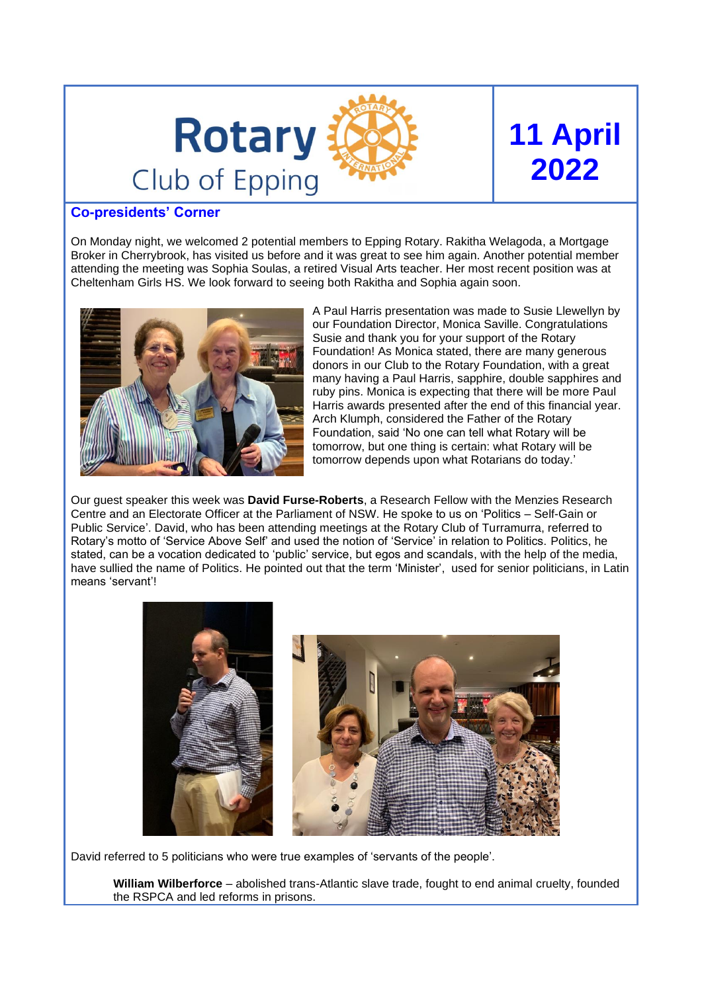

# **11 April 2022**

#### **Co-presidents' Corner**

On Monday night, we welcomed 2 potential members to Epping Rotary. Rakitha Welagoda, a Mortgage Broker in Cherrybrook, has visited us before and it was great to see him again. Another potential member attending the meeting was Sophia Soulas, a retired Visual Arts teacher. Her most recent position was at Cheltenham Girls HS. We look forward to seeing both Rakitha and Sophia again soon.



A Paul Harris presentation was made to Susie Llewellyn by our Foundation Director, Monica Saville. Congratulations Susie and thank you for your support of the Rotary Foundation! As Monica stated, there are many generous donors in our Club to the Rotary Foundation, with a great many having a Paul Harris, sapphire, double sapphires and ruby pins. Monica is expecting that there will be more Paul Harris awards presented after the end of this financial year. Arch Klumph, considered the Father of the Rotary Foundation, said 'No one can tell what Rotary will be tomorrow, but one thing is certain: what Rotary will be tomorrow depends upon what Rotarians do today.'

Our guest speaker this week was **David Furse-Roberts**, a Research Fellow with the Menzies Research Centre and an Electorate Officer at the Parliament of NSW. He spoke to us on 'Politics – Self-Gain or Public Service'. David, who has been attending meetings at the Rotary Club of Turramurra, referred to Rotary's motto of 'Service Above Self' and used the notion of 'Service' in relation to Politics. Politics, he stated, can be a vocation dedicated to 'public' service, but egos and scandals, with the help of the media, have sullied the name of Politics. He pointed out that the term 'Minister', used for senior politicians, in Latin means 'servant'!



David referred to 5 politicians who were true examples of 'servants of the people'.

**William Wilberforce** – abolished trans-Atlantic slave trade, fought to end animal cruelty, founded the RSPCA and led reforms in prisons.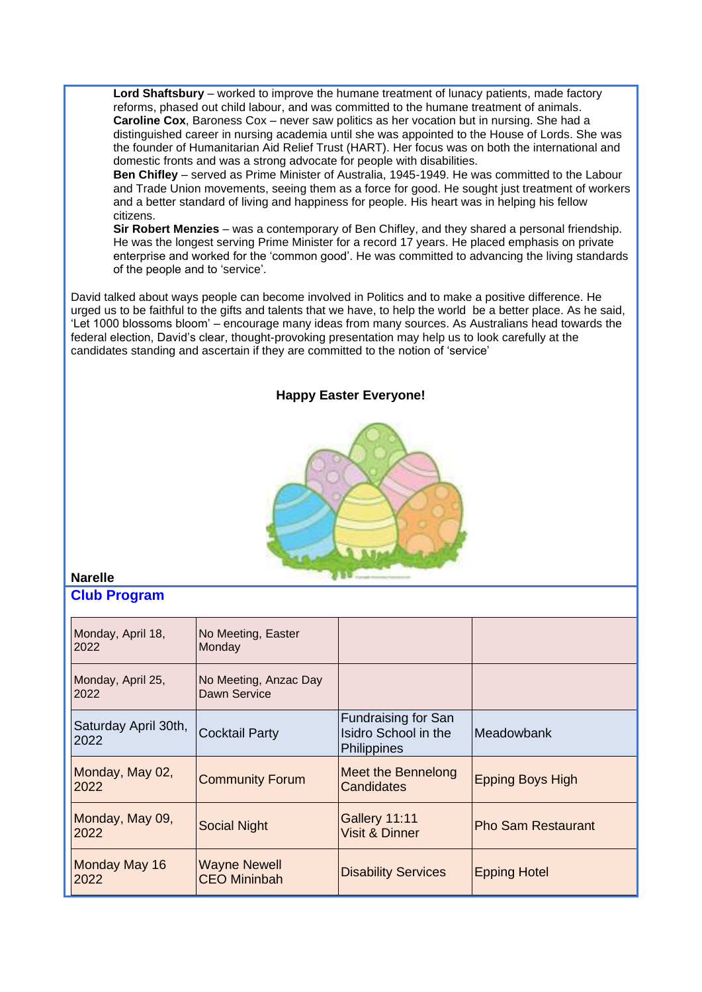**Lord Shaftsbury** – worked to improve the humane treatment of lunacy patients, made factory reforms, phased out child labour, and was committed to the humane treatment of animals. **Caroline Cox**, Baroness Cox – never saw politics as her vocation but in nursing. She had a distinguished career in nursing academia until she was appointed to the House of Lords. She was the founder of Humanitarian Aid Relief Trust (HART). Her focus was on both the international and domestic fronts and was a strong advocate for people with disabilities.

**Ben Chifley** – served as Prime Minister of Australia, 1945-1949. He was committed to the Labour and Trade Union movements, seeing them as a force for good. He sought just treatment of workers and a better standard of living and happiness for people. His heart was in helping his fellow citizens.

**Sir Robert Menzies** – was a contemporary of Ben Chifley, and they shared a personal friendship. He was the longest serving Prime Minister for a record 17 years. He placed emphasis on private enterprise and worked for the 'common good'. He was committed to advancing the living standards of the people and to 'service'.

David talked about ways people can become involved in Politics and to make a positive difference. He urged us to be faithful to the gifts and talents that we have, to help the world be a better place. As he said, 'Let 1000 blossoms bloom' – encourage many ideas from many sources. As Australians head towards the federal election, David's clear, thought-provoking presentation may help us to look carefully at the candidates standing and ascertain if they are committed to the notion of 'service'

#### **Happy Easter Everyone!**



## **Narelle**

#### **Club Program**

| Monday, April 18,<br>2022    | No Meeting, Easter<br>Monday               |                                                                   |                           |
|------------------------------|--------------------------------------------|-------------------------------------------------------------------|---------------------------|
| Monday, April 25,<br>2022    | No Meeting, Anzac Day<br>Dawn Service      |                                                                   |                           |
| Saturday April 30th,<br>2022 | <b>Cocktail Party</b>                      | <b>Fundraising for San</b><br>Isidro School in the<br>Philippines | Meadowbank                |
| Monday, May 02,<br>2022      | <b>Community Forum</b>                     | Meet the Bennelong<br>Candidates                                  | <b>Epping Boys High</b>   |
| Monday, May 09,<br>2022      | <b>Social Night</b>                        | <b>Gallery 11:11</b><br><b>Visit &amp; Dinner</b>                 | <b>Pho Sam Restaurant</b> |
| Monday May 16<br>2022        | <b>Wayne Newell</b><br><b>CEO Mininbah</b> | <b>Disability Services</b>                                        | <b>Epping Hotel</b>       |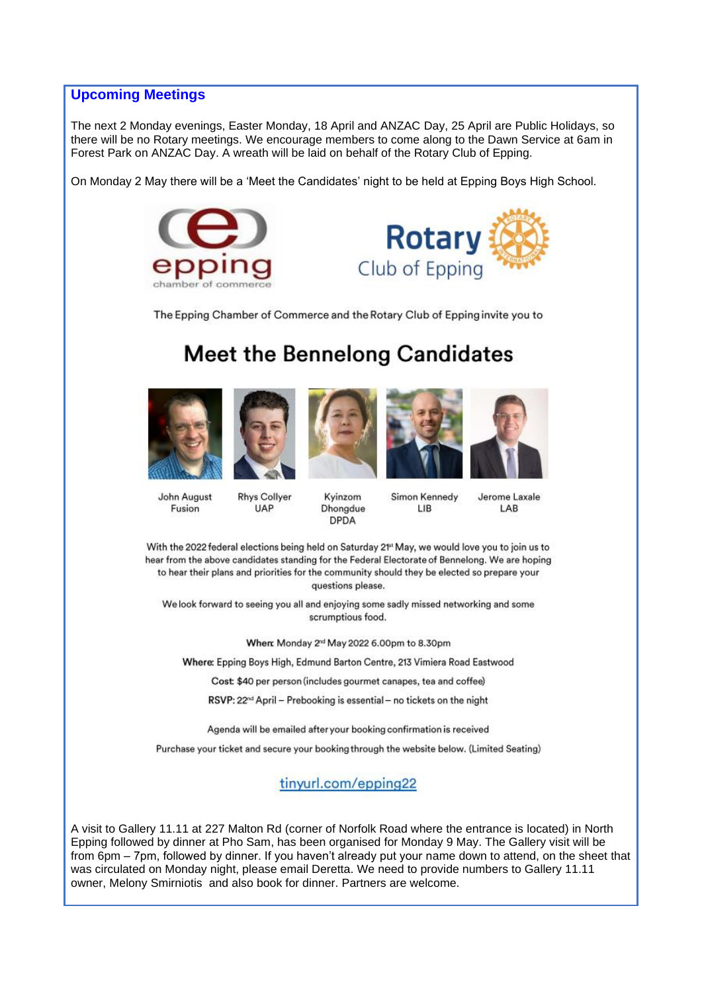#### **Upcoming Meetings**

The next 2 Monday evenings, Easter Monday, 18 April and ANZAC Day, 25 April are Public Holidays, so there will be no Rotary meetings. We encourage members to come along to the Dawn Service at 6am in Forest Park on ANZAC Day. A wreath will be laid on behalf of the Rotary Club of Epping.

On Monday 2 May there will be a 'Meet the Candidates' night to be held at Epping Boys High School.





The Epping Chamber of Commerce and the Rotary Club of Epping invite you to

# **Meet the Bennelong Candidates**









LIB



John August Fusion

**Rhys Collyer UAP** 

Simon Kennedy Kyinzom Dhongdue **DPDA** 

Jerome Laxale LAB

With the 2022 federal elections being held on Saturday 2<sup>4</sup> May, we would love you to join us to hear from the above candidates standing for the Federal Electorate of Bennelong. We are hoping to hear their plans and priorities for the community should they be elected so prepare your questions please.

We look forward to seeing you all and enjoying some sadly missed networking and some scrumptious food.

When: Monday 2<sup>nd</sup> May 2022 6.00pm to 8.30pm

Where: Epping Boys High, Edmund Barton Centre, 213 Vimiera Road Eastwood

Cost: \$40 per person (includes gourmet canapes, tea and coffee)

RSVP: 22<sup>nd</sup> April - Prebooking is essential - no tickets on the night

Agenda will be emailed after your booking confirmation is received

Purchase your ticket and secure your booking through the website below. (Limited Seating)

tinyurl.com/epping22

A visit to Gallery 11.11 at 227 Malton Rd (corner of Norfolk Road where the entrance is located) in North Epping followed by dinner at Pho Sam, has been organised for Monday 9 May. The Gallery visit will be from 6pm – 7pm, followed by dinner. If you haven't already put your name down to attend, on the sheet that was circulated on Monday night, please email Deretta. We need to provide numbers to Gallery 11.11 owner, Melony Smirniotis and also book for dinner. Partners are welcome.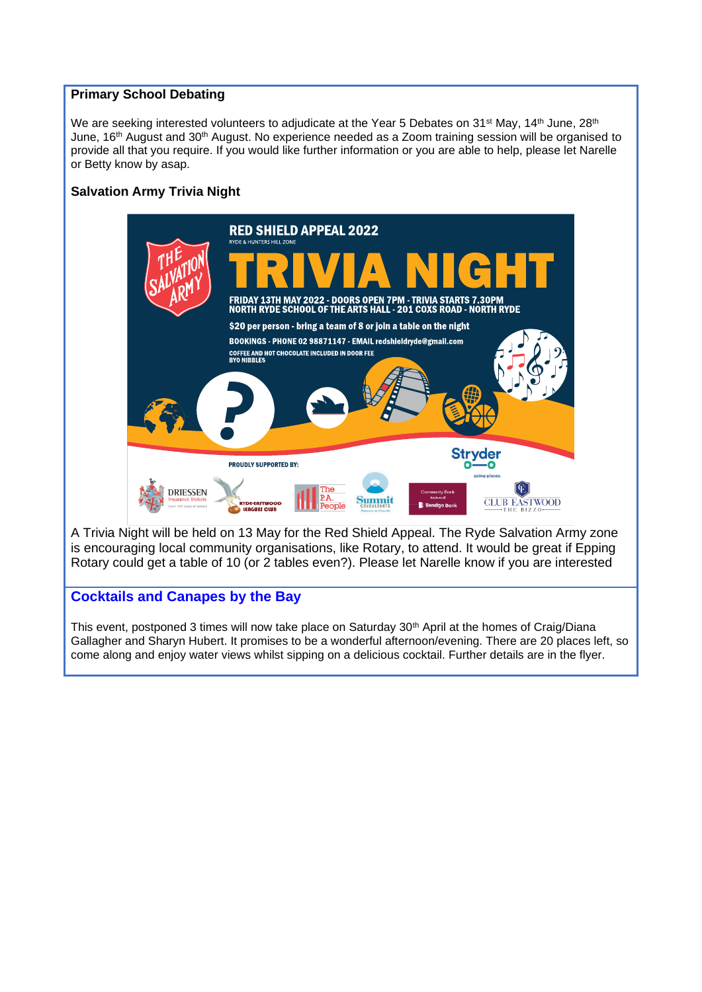#### **Primary School Debating**

We are seeking interested volunteers to adjudicate at the Year 5 Debates on 31<sup>st</sup> May, 14<sup>th</sup> June, 28<sup>th</sup> June, 16<sup>th</sup> August and 30<sup>th</sup> August. No experience needed as a Zoom training session will be organised to provide all that you require. If you would like further information or you are able to help, please let Narelle or Betty know by asap.

#### **Salvation Army Trivia Night**



A Trivia Night will be held on 13 May for the Red Shield Appeal. The Ryde Salvation Army zone is encouraging local community organisations, like Rotary, to attend. It would be great if Epping Rotary could get a table of 10 (or 2 tables even?). Please let Narelle know if you are interested

### **Cocktails and Canapes by the Bay**

This event, postponed 3 times will now take place on Saturday 30<sup>th</sup> April at the homes of Craig/Diana Gallagher and Sharyn Hubert. It promises to be a wonderful afternoon/evening. There are 20 places left, so come along and enjoy water views whilst sipping on a delicious cocktail. Further details are in the flyer.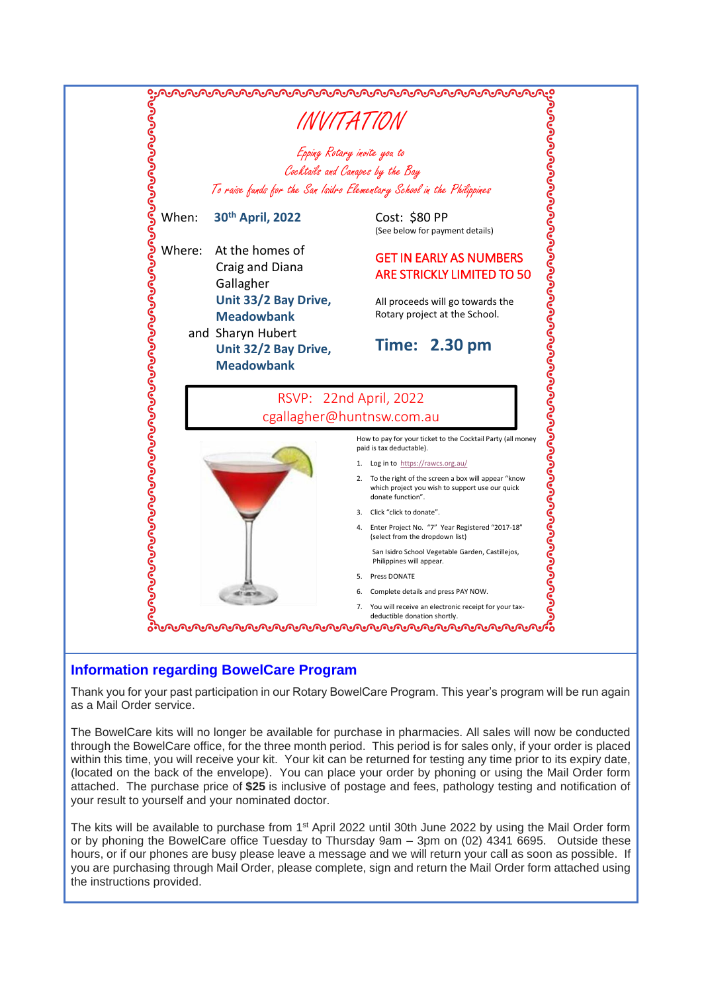

#### **Information regarding BowelCare Program**

Thank you for your past participation in our Rotary BowelCare Program. This year's program will be run again as a Mail Order service.

The BowelCare kits will no longer be available for purchase in pharmacies. All sales will now be conducted through the BowelCare office, for the three month period. This period is for sales only, if your order is placed within this time, you will receive your kit. Your kit can be returned for testing any time prior to its expiry date, (located on the back of the envelope). You can place your order by phoning or using the Mail Order form attached. The purchase price of **\$25** is inclusive of postage and fees, pathology testing and notification of your result to yourself and your nominated doctor.

The kits will be available to purchase from 1<sup>st</sup> April 2022 until 30th June 2022 by using the Mail Order form or by phoning the BowelCare office Tuesday to Thursday 9am – 3pm on (02) 4341 6695. Outside these hours, or if our phones are busy please leave a message and we will return your call as soon as possible. If you are purchasing through Mail Order, please complete, sign and return the Mail Order form attached using the instructions provided.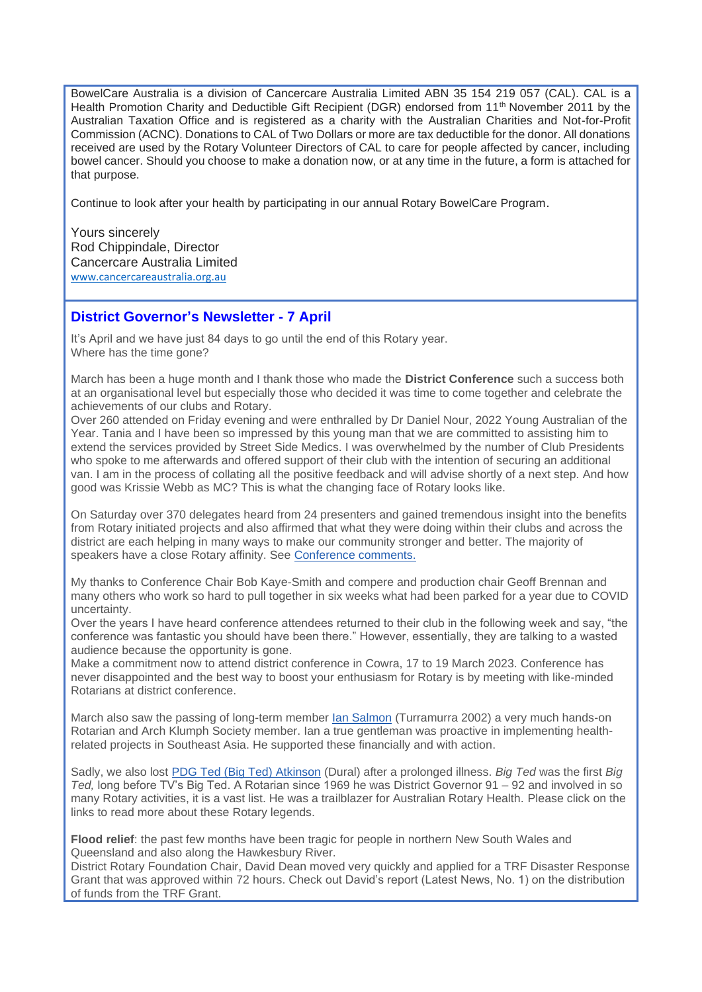BowelCare Australia is a division of Cancercare Australia Limited ABN 35 154 219 057 (CAL). CAL is a Health Promotion Charity and Deductible Gift Recipient (DGR) endorsed from 11<sup>th</sup> November 2011 by the Australian Taxation Office and is registered as a charity with the Australian Charities and Not-for-Profit Commission (ACNC). Donations to CAL of Two Dollars or more are tax deductible for the donor. All donations received are used by the Rotary Volunteer Directors of CAL to care for people affected by cancer, including bowel cancer. Should you choose to make a donation now, or at any time in the future, a form is attached for that purpose.

Continue to look after your health by participating in our annual Rotary BowelCare Program.

Yours sincerely Rod Chippindale, Director Cancercare Australia Limited [www.cancercareaustralia.org.au](http://www.cancercareaustralia.org.au/)

#### **District Governor's Newsletter - 7 April**

It's April and we have just 84 days to go until the end of this Rotary year. Where has the time gone?

March has been a huge month and I thank those who made the **District Conference** such a success both at an organisational level but especially those who decided it was time to come together and celebrate the achievements of our clubs and Rotary.

Over 260 attended on Friday evening and were enthralled by Dr Daniel Nour, 2022 Young Australian of the Year. Tania and I have been so impressed by this young man that we are committed to assisting him to extend the services provided by Street Side Medics. I was overwhelmed by the number of Club Presidents who spoke to me afterwards and offered support of their club with the intention of securing an additional van. I am in the process of collating all the positive feedback and will advise shortly of a next step. And how good was Krissie Webb as MC? This is what the changing face of Rotary looks like.

On Saturday over 370 delegates heard from 24 presenters and gained tremendous insight into the benefits from Rotary initiated projects and also affirmed that what they were doing within their clubs and across the district are each helping in many ways to make our community stronger and better. The majority of speakers have a close Rotary affinity. See [Conference comments.](https://portal.clubrunner.ca/50081/Documents/en-au/b5cc2550-e0fe-4bb0-97c0-4cb76f149187/1/)

My thanks to Conference Chair Bob Kaye-Smith and compere and production chair Geoff Brennan and many others who work so hard to pull together in six weeks what had been parked for a year due to COVID uncertainty.

Over the years I have heard conference attendees returned to their club in the following week and say, "the conference was fantastic you should have been there." However, essentially, they are talking to a wasted audience because the opportunity is gone.

Make a commitment now to attend district conference in Cowra, 17 to 19 March 2023. Conference has never disappointed and the best way to boost your enthusiasm for Rotary is by meeting with like-minded Rotarians at district conference.

March also saw the passing of long-term member [Ian Salmon](https://portal.clubrunner.ca/50081/Documents/en-au/c2df0b33-4e75-4002-9bbd-7cd8b5b2e7c0/1/) (Turramurra 2002) a very much hands-on Rotarian and Arch Klumph Society member. Ian a true gentleman was proactive in implementing healthrelated projects in Southeast Asia. He supported these financially and with action.

Sadly, we also lost [PDG Ted \(Big Ted\) Atkinson](https://portal.clubrunner.ca/50081/Documents/en-au/e824929a-7e34-4737-b40a-5a8455510ee6/1/) (Dural) after a prolonged illness. *Big Ted* was the first *Big Ted,* long before TV's Big Ted. A Rotarian since 1969 he was District Governor 91 – 92 and involved in so many Rotary activities, it is a vast list. He was a trailblazer for Australian Rotary Health. Please click on the links to read more about these Rotary legends.

**Flood relief**: the past few months have been tragic for people in northern New South Wales and Queensland and also along the Hawkesbury River.

District Rotary Foundation Chair, David Dean moved very quickly and applied for a TRF Disaster Response Grant that was approved within 72 hours. Check out David's report (Latest News, No. 1) on the distribution of funds from the TRF Grant.